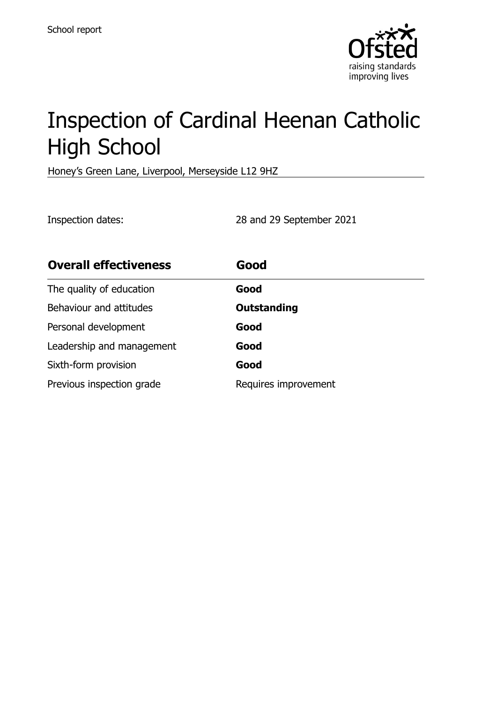

# Inspection of Cardinal Heenan Catholic High School

Honey's Green Lane, Liverpool, Merseyside L12 9HZ

Inspection dates: 28 and 29 September 2021

| <b>Overall effectiveness</b> | Good                 |
|------------------------------|----------------------|
| The quality of education     | Good                 |
| Behaviour and attitudes      | <b>Outstanding</b>   |
| Personal development         | Good                 |
| Leadership and management    | Good                 |
| Sixth-form provision         | Good                 |
| Previous inspection grade    | Requires improvement |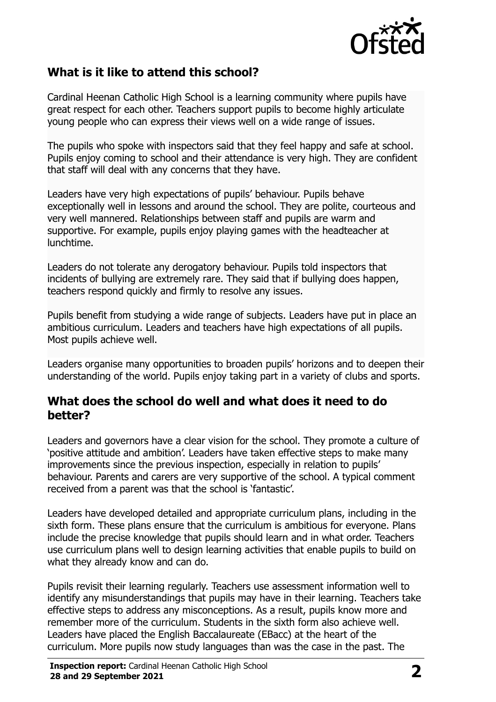

# **What is it like to attend this school?**

Cardinal Heenan Catholic High School is a learning community where pupils have great respect for each other. Teachers support pupils to become highly articulate young people who can express their views well on a wide range of issues.

The pupils who spoke with inspectors said that they feel happy and safe at school. Pupils enjoy coming to school and their attendance is very high. They are confident that staff will deal with any concerns that they have.

Leaders have very high expectations of pupils' behaviour. Pupils behave exceptionally well in lessons and around the school. They are polite, courteous and very well mannered. Relationships between staff and pupils are warm and supportive. For example, pupils enjoy playing games with the headteacher at lunchtime.

Leaders do not tolerate any derogatory behaviour. Pupils told inspectors that incidents of bullying are extremely rare. They said that if bullying does happen, teachers respond quickly and firmly to resolve any issues.

Pupils benefit from studying a wide range of subjects. Leaders have put in place an ambitious curriculum. Leaders and teachers have high expectations of all pupils. Most pupils achieve well.

Leaders organise many opportunities to broaden pupils' horizons and to deepen their understanding of the world. Pupils enjoy taking part in a variety of clubs and sports.

#### **What does the school do well and what does it need to do better?**

Leaders and governors have a clear vision for the school. They promote a culture of 'positive attitude and ambition'. Leaders have taken effective steps to make many improvements since the previous inspection, especially in relation to pupils' behaviour. Parents and carers are very supportive of the school. A typical comment received from a parent was that the school is 'fantastic'.

Leaders have developed detailed and appropriate curriculum plans, including in the sixth form. These plans ensure that the curriculum is ambitious for everyone. Plans include the precise knowledge that pupils should learn and in what order. Teachers use curriculum plans well to design learning activities that enable pupils to build on what they already know and can do.

Pupils revisit their learning regularly. Teachers use assessment information well to identify any misunderstandings that pupils may have in their learning. Teachers take effective steps to address any misconceptions. As a result, pupils know more and remember more of the curriculum. Students in the sixth form also achieve well. Leaders have placed the English Baccalaureate (EBacc) at the heart of the curriculum. More pupils now study languages than was the case in the past. The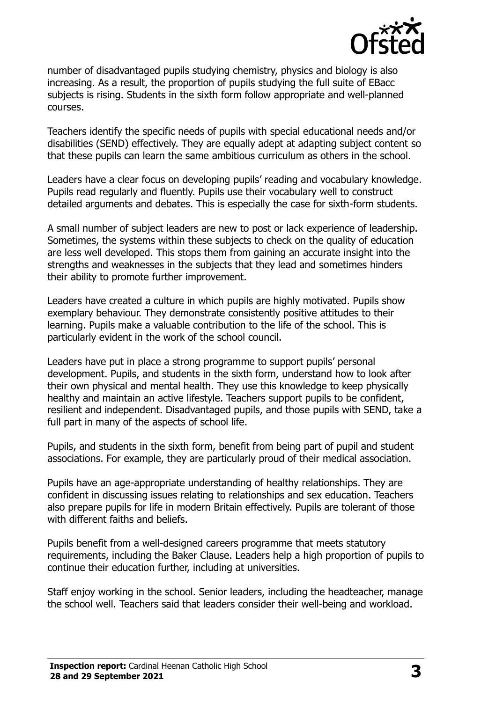

number of disadvantaged pupils studying chemistry, physics and biology is also increasing. As a result, the proportion of pupils studying the full suite of EBacc subjects is rising. Students in the sixth form follow appropriate and well-planned courses.

Teachers identify the specific needs of pupils with special educational needs and/or disabilities (SEND) effectively. They are equally adept at adapting subject content so that these pupils can learn the same ambitious curriculum as others in the school.

Leaders have a clear focus on developing pupils' reading and vocabulary knowledge. Pupils read regularly and fluently. Pupils use their vocabulary well to construct detailed arguments and debates. This is especially the case for sixth-form students.

A small number of subject leaders are new to post or lack experience of leadership. Sometimes, the systems within these subjects to check on the quality of education are less well developed. This stops them from gaining an accurate insight into the strengths and weaknesses in the subjects that they lead and sometimes hinders their ability to promote further improvement.

Leaders have created a culture in which pupils are highly motivated. Pupils show exemplary behaviour. They demonstrate consistently positive attitudes to their learning. Pupils make a valuable contribution to the life of the school. This is particularly evident in the work of the school council.

Leaders have put in place a strong programme to support pupils' personal development. Pupils, and students in the sixth form, understand how to look after their own physical and mental health. They use this knowledge to keep physically healthy and maintain an active lifestyle. Teachers support pupils to be confident, resilient and independent. Disadvantaged pupils, and those pupils with SEND, take a full part in many of the aspects of school life.

Pupils, and students in the sixth form, benefit from being part of pupil and student associations. For example, they are particularly proud of their medical association.

Pupils have an age-appropriate understanding of healthy relationships. They are confident in discussing issues relating to relationships and sex education. Teachers also prepare pupils for life in modern Britain effectively. Pupils are tolerant of those with different faiths and beliefs.

Pupils benefit from a well-designed careers programme that meets statutory requirements, including the Baker Clause. Leaders help a high proportion of pupils to continue their education further, including at universities.

Staff enjoy working in the school. Senior leaders, including the headteacher, manage the school well. Teachers said that leaders consider their well-being and workload.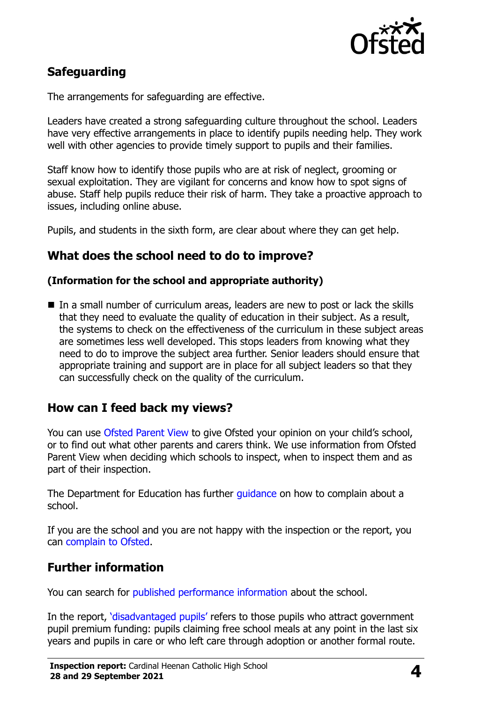

# **Safeguarding**

The arrangements for safeguarding are effective.

Leaders have created a strong safeguarding culture throughout the school. Leaders have very effective arrangements in place to identify pupils needing help. They work well with other agencies to provide timely support to pupils and their families.

Staff know how to identify those pupils who are at risk of neglect, grooming or sexual exploitation. They are vigilant for concerns and know how to spot signs of abuse. Staff help pupils reduce their risk of harm. They take a proactive approach to issues, including online abuse.

Pupils, and students in the sixth form, are clear about where they can get help.

## **What does the school need to do to improve?**

#### **(Information for the school and appropriate authority)**

In a small number of curriculum areas, leaders are new to post or lack the skills that they need to evaluate the quality of education in their subject. As a result, the systems to check on the effectiveness of the curriculum in these subject areas are sometimes less well developed. This stops leaders from knowing what they need to do to improve the subject area further. Senior leaders should ensure that appropriate training and support are in place for all subject leaders so that they can successfully check on the quality of the curriculum.

## **How can I feed back my views?**

You can use [Ofsted Parent View](http://parentview.ofsted.gov.uk/) to give Ofsted your opinion on your child's school, or to find out what other parents and carers think. We use information from Ofsted Parent View when deciding which schools to inspect, when to inspect them and as part of their inspection.

The Department for Education has further [guidance](http://www.gov.uk/complain-about-school) on how to complain about a school.

If you are the school and you are not happy with the inspection or the report, you can [complain to Ofsted.](http://www.gov.uk/complain-ofsted-report)

#### **Further information**

You can search for [published performance information](http://www.compare-school-performance.service.gov.uk/) about the school.

In the report, '[disadvantaged pupils](http://www.gov.uk/guidance/pupil-premium-information-for-schools-and-alternative-provision-settings)' refers to those pupils who attract government pupil premium funding: pupils claiming free school meals at any point in the last six years and pupils in care or who left care through adoption or another formal route.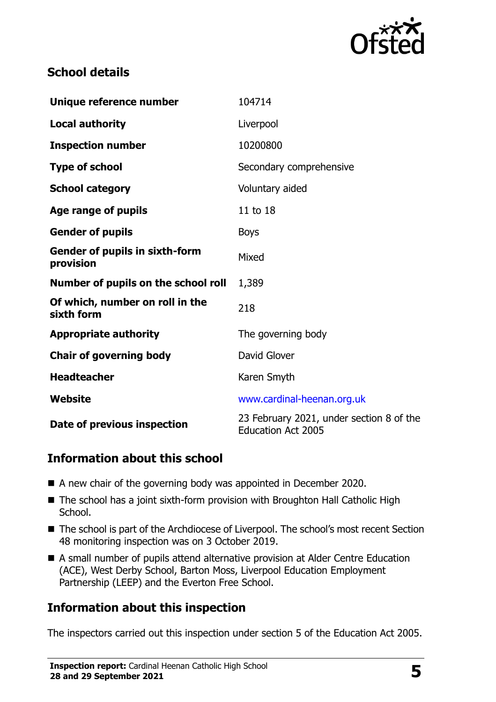

# **School details**

| Unique reference number                            | 104714                                                                |  |
|----------------------------------------------------|-----------------------------------------------------------------------|--|
| <b>Local authority</b>                             | Liverpool                                                             |  |
| <b>Inspection number</b>                           | 10200800                                                              |  |
| <b>Type of school</b>                              | Secondary comprehensive                                               |  |
| <b>School category</b>                             | Voluntary aided                                                       |  |
| Age range of pupils                                | 11 to 18                                                              |  |
| <b>Gender of pupils</b>                            | <b>Boys</b>                                                           |  |
| <b>Gender of pupils in sixth-form</b><br>provision | Mixed                                                                 |  |
| Number of pupils on the school roll                | 1,389                                                                 |  |
| Of which, number on roll in the<br>sixth form      | 218                                                                   |  |
| <b>Appropriate authority</b>                       | The governing body                                                    |  |
| <b>Chair of governing body</b>                     | David Glover                                                          |  |
| <b>Headteacher</b>                                 | Karen Smyth                                                           |  |
| Website                                            | www.cardinal-heenan.org.uk                                            |  |
| Date of previous inspection                        | 23 February 2021, under section 8 of the<br><b>Education Act 2005</b> |  |

# **Information about this school**

- A new chair of the governing body was appointed in December 2020.
- The school has a joint sixth-form provision with Broughton Hall Catholic High School.
- The school is part of the Archdiocese of Liverpool. The school's most recent Section 48 monitoring inspection was on 3 October 2019.
- A small number of pupils attend alternative provision at Alder Centre Education (ACE), West Derby School, Barton Moss, Liverpool Education Employment Partnership (LEEP) and the Everton Free School.

# **Information about this inspection**

The inspectors carried out this inspection under section 5 of the Education Act 2005.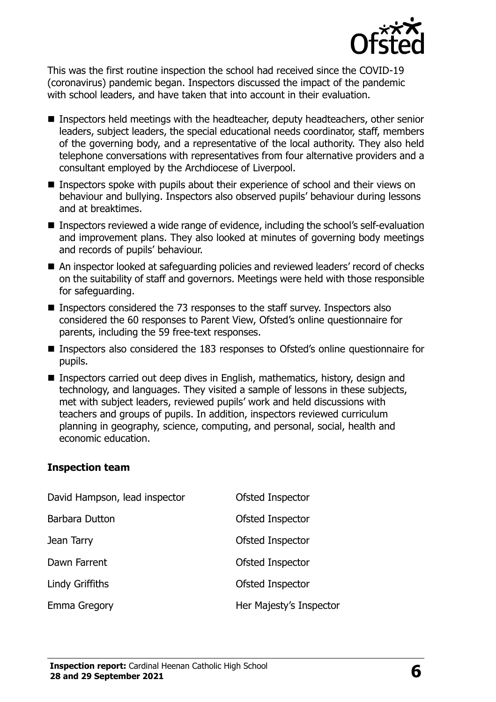

This was the first routine inspection the school had received since the COVID-19 (coronavirus) pandemic began. Inspectors discussed the impact of the pandemic with school leaders, and have taken that into account in their evaluation.

- Inspectors held meetings with the headteacher, deputy headteachers, other senior leaders, subject leaders, the special educational needs coordinator, staff, members of the governing body, and a representative of the local authority. They also held telephone conversations with representatives from four alternative providers and a consultant employed by the Archdiocese of Liverpool.
- Inspectors spoke with pupils about their experience of school and their views on behaviour and bullying. Inspectors also observed pupils' behaviour during lessons and at breaktimes.
- Inspectors reviewed a wide range of evidence, including the school's self-evaluation and improvement plans. They also looked at minutes of governing body meetings and records of pupils' behaviour.
- An inspector looked at safeguarding policies and reviewed leaders' record of checks on the suitability of staff and governors. Meetings were held with those responsible for safeguarding.
- Inspectors considered the 73 responses to the staff survey. Inspectors also considered the 60 responses to Parent View, Ofsted's online questionnaire for parents, including the 59 free-text responses.
- Inspectors also considered the 183 responses to Ofsted's online questionnaire for pupils.
- Inspectors carried out deep dives in English, mathematics, history, design and technology, and languages. They visited a sample of lessons in these subjects, met with subject leaders, reviewed pupils' work and held discussions with teachers and groups of pupils. In addition, inspectors reviewed curriculum planning in geography, science, computing, and personal, social, health and economic education.

#### **Inspection team**

| David Hampson, lead inspector | Ofsted Inspector        |
|-------------------------------|-------------------------|
| Barbara Dutton                | Ofsted Inspector        |
| Jean Tarry                    | Ofsted Inspector        |
| Dawn Farrent                  | Ofsted Inspector        |
| Lindy Griffiths               | Ofsted Inspector        |
| Emma Gregory                  | Her Majesty's Inspector |